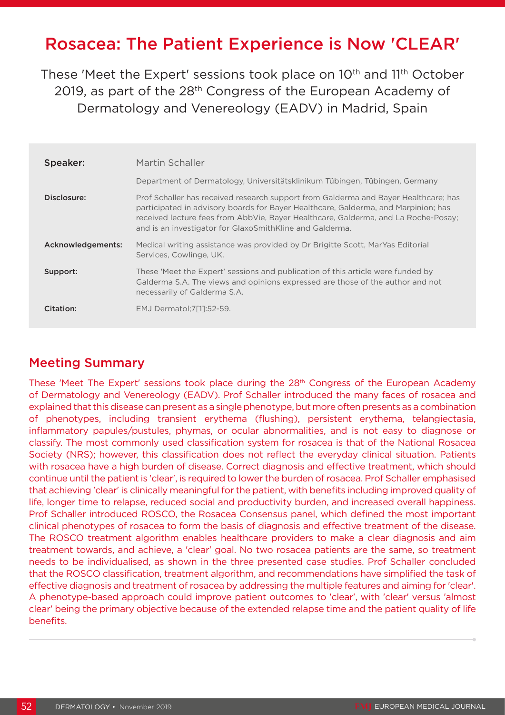# Rosacea: The Patient Experience is Now 'CLEAR'

These 'Meet the Expert' sessions took place on 10<sup>th</sup> and 11<sup>th</sup> October 2019, as part of the 28<sup>th</sup> Congress of the European Academy of Dermatology and Venereology (EADV) in Madrid, Spain

| Speaker:          | Martin Schaller                                                                                                                                                                                                                                                                                                             |
|-------------------|-----------------------------------------------------------------------------------------------------------------------------------------------------------------------------------------------------------------------------------------------------------------------------------------------------------------------------|
|                   | Department of Dermatology, Universitätsklinikum Tübingen, Tübingen, Germany                                                                                                                                                                                                                                                 |
| Disclosure:       | Prof Schaller has received research support from Galderma and Bayer Healthcare; has<br>participated in advisory boards for Bayer Healthcare, Galderma, and Marpinion; has<br>received lecture fees from AbbVie, Bayer Healthcare, Galderma, and La Roche-Posay;<br>and is an investigator for GlaxoSmithKline and Galderma. |
| Acknowledgements: | Medical writing assistance was provided by Dr Brigitte Scott, MarYas Editorial<br>Services, Cowlinge, UK.                                                                                                                                                                                                                   |
| Support:          | These 'Meet the Expert' sessions and publication of this article were funded by<br>Galderma S.A. The views and opinions expressed are those of the author and not<br>necessarily of Galderma S.A.                                                                                                                           |
| Citation:         | EMJ Dermatol; 7[1]: 52-59.                                                                                                                                                                                                                                                                                                  |

## Meeting Summary

These 'Meet The Expert' sessions took place during the 28<sup>th</sup> Congress of the European Academy of Dermatology and Venereology (EADV). Prof Schaller introduced the many faces of rosacea and explained that this disease can present as a single phenotype, but more often presents as a combination of phenotypes, including transient erythema (flushing), persistent erythema, telangiectasia, inflammatory papules/pustules, phymas, or ocular abnormalities, and is not easy to diagnose or classify. The most commonly used classification system for rosacea is that of the National Rosacea Society (NRS); however, this classification does not reflect the everyday clinical situation. Patients with rosacea have a high burden of disease. Correct diagnosis and effective treatment, which should continue until the patient is 'clear', is required to lower the burden of rosacea. Prof Schaller emphasised that achieving 'clear' is clinically meaningful for the patient, with benefits including improved quality of life, longer time to relapse, reduced social and productivity burden, and increased overall happiness. Prof Schaller introduced ROSCO, the Rosacea Consensus panel, which defined the most important clinical phenotypes of rosacea to form the basis of diagnosis and effective treatment of the disease. The ROSCO treatment algorithm enables healthcare providers to make a clear diagnosis and aim treatment towards, and achieve, a 'clear' goal. No two rosacea patients are the same, so treatment needs to be individualised, as shown in the three presented case studies. Prof Schaller concluded that the ROSCO classification, treatment algorithm, and recommendations have simplified the task of effective diagnosis and treatment of rosacea by addressing the multiple features and aiming for 'clear'. A phenotype-based approach could improve patient outcomes to 'clear', with 'clear' versus 'almost clear' being the primary objective because of the extended relapse time and the patient quality of life benefits.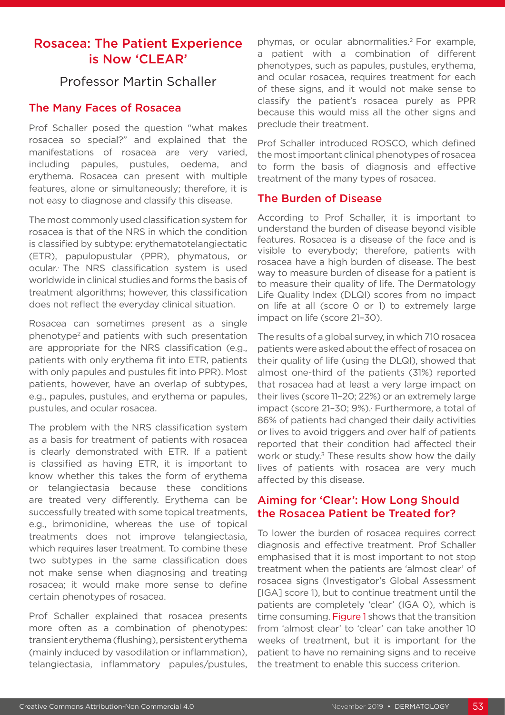## Rosacea: The Patient Experience is Now 'CLEAR'

## Professor Martin Schaller

#### The Many Faces of Rosacea

Prof Schaller posed the question "what makes rosacea so special?" and explained that the manifestations of rosacea are very varied, including papules, pustules, oedema, and erythema. Rosacea can present with multiple features, alone or simultaneously; therefore, it is not easy to diagnose and classify this disease.

The most commonly used classification system for rosacea is that of the NRS in which the condition is classified by subtype: erythematotelangiectatic (ETR), papulopustular (PPR), phymatous, or ocular., The NRS classification system is used worldwide in clinical studies and forms the basis of treatment algorithms; however, this classification does not reflect the everyday clinical situation.

Rosacea can sometimes present as a single phenotype2 and patients with such presentation are appropriate for the NRS classification (e.g., patients with only erythema fit into ETR, patients with only papules and pustules fit into PPR). Most patients, however, have an overlap of subtypes, e.g., papules, pustules, and erythema or papules, pustules, and ocular rosacea.

The problem with the NRS classification system as a basis for treatment of patients with rosacea is clearly demonstrated with ETR. If a patient is classified as having ETR, it is important to know whether this takes the form of erythema or telangiectasia because these conditions are treated very differently. Erythema can be successfully treated with some topical treatments, e.g., brimonidine, whereas the use of topical treatments does not improve telangiectasia, which requires laser treatment. To combine these two subtypes in the same classification does not make sense when diagnosing and treating rosacea; it would make more sense to define certain phenotypes of rosacea.

Prof Schaller explained that rosacea presents more often as a combination of phenotypes: transient erythema (flushing), persistent erythema (mainly induced by vasodilation or inflammation), telangiectasia, inflammatory papules/pustules,

phymas, or ocular abnormalities.2 For example, a patient with a combination of different phenotypes, such as papules, pustules, erythema, and ocular rosacea, requires treatment for each of these signs, and it would not make sense to classify the patient's rosacea purely as PPR because this would miss all the other signs and preclude their treatment.

Prof Schaller introduced ROSCO, which defined the most important clinical phenotypes of rosacea to form the basis of diagnosis and effective treatment of the many types of rosacea.

#### The Burden of Disease

According to Prof Schaller, it is important to understand the burden of disease beyond visible features. Rosacea is a disease of the face and is visible to everybody; therefore, patients with rosacea have a high burden of disease. The best way to measure burden of disease for a patient is to measure their quality of life. The Dermatology Life Quality Index (DLQI) scores from no impact on life at all (score 0 or 1) to extremely large impact on life (score 21–30).

The results of a global survey, in which 710 rosacea patients were asked about the effect of rosacea on their quality of life (using the DLQI), showed that almost one-third of the patients (31%) reported that rosacea had at least a very large impact on their lives (score 11–20; 22%) or an extremely large impact (score 21-30; 9%). Furthermore, a total of 86% of patients had changed their daily activities or lives to avoid triggers and over half of patients reported that their condition had affected their work or study.<sup>3</sup> These results show how the daily lives of patients with rosacea are very much affected by this disease.

#### Aiming for 'Clear': How Long Should the Rosacea Patient be Treated for?

To lower the burden of rosacea requires correct diagnosis and effective treatment. Prof Schaller emphasised that it is most important to not stop treatment when the patients are 'almost clear' of rosacea signs (Investigator's Global Assessment [IGA] score 1), but to continue treatment until the patients are completely 'clear' (IGA 0), which is time consuming. Figure 1 shows that the transition from 'almost clear' to 'clear' can take another 10 weeks of treatment, but it is important for the patient to have no remaining signs and to receive the treatment to enable this success criterion.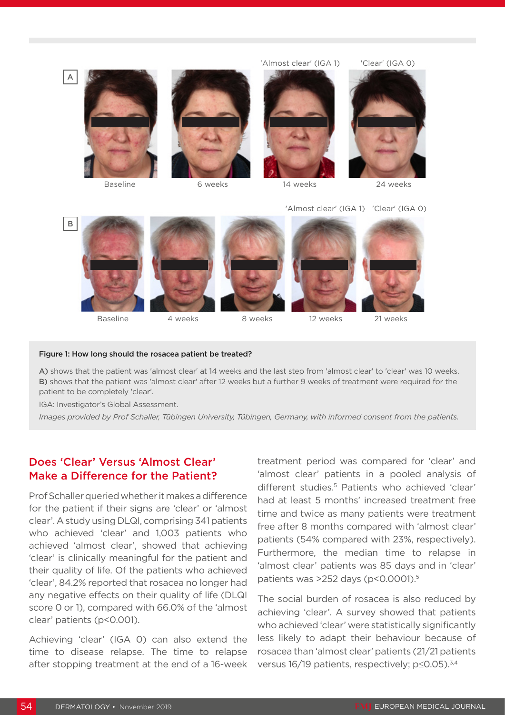

'Almost clear' (IGA 1) 'Clear' (IGA 0)



#### Figure 1: How long should the rosacea patient be treated?

A) shows that the patient was 'almost clear' at 14 weeks and the last step from 'almost clear' to 'clear' was 10 weeks. B) shows that the patient was 'almost clear' after 12 weeks but a further 9 weeks of treatment were required for the patient to be completely 'clear'.

IGA: Investigator's Global Assessment.

*Images provided by Prof Schaller, Tübingen University, Tübingen, Germany, with informed consent from the patients.*

## Does 'Clear' Versus 'Almost Clear' Make a Difference for the Patient?

Prof Schaller queried whether it makes a difference for the patient if their signs are 'clear' or 'almost clear'. A study using DLQI, comprising 341 patients who achieved 'clear' and 1,003 patients who achieved 'almost clear', showed that achieving 'clear' is clinically meaningful for the patient and their quality of life. Of the patients who achieved 'clear', 84.2% reported that rosacea no longer had any negative effects on their quality of life (DLQI score 0 or 1), compared with 66.0% of the 'almost clear' patients (p<0.001).

Achieving 'clear' (IGA 0) can also extend the time to disease relapse. The time to relapse after stopping treatment at the end of a 16-week

treatment period was compared for 'clear' and 'almost clear' patients in a pooled analysis of different studies.<sup>5</sup> Patients who achieved 'clear' had at least 5 months' increased treatment free time and twice as many patients were treatment free after 8 months compared with 'almost clear' patients (54% compared with 23%, respectively). Furthermore, the median time to relapse in 'almost clear' patients was 85 days and in 'clear' patients was >252 days (p<0.0001).<sup>5</sup>

The social burden of rosacea is also reduced by achieving 'clear'. A survey showed that patients who achieved 'clear' were statistically significantly less likely to adapt their behaviour because of rosacea than 'almost clear' patients (21/21 patients versus 16/19 patients, respectively; p≤0.05).3,4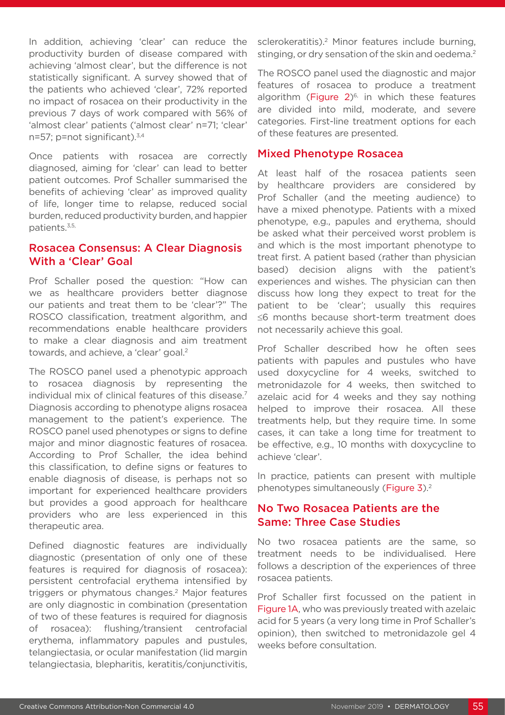In addition, achieving 'clear' can reduce the productivity burden of disease compared with achieving 'almost clear', but the difference is not statistically significant. A survey showed that of the patients who achieved 'clear', 72% reported no impact of rosacea on their productivity in the previous 7 days of work compared with 56% of 'almost clear' patients ('almost clear' n=71; 'clear' n=57; p=not significant).<sup>3,4</sup>

Once patients with rosacea are correctly diagnosed, aiming for 'clear' can lead to better patient outcomes. Prof Schaller summarised the benefits of achieving 'clear' as improved quality of life, longer time to relapse, reduced social burden, reduced productivity burden, and happier patients.<sup>3,5,</sup>

#### Rosacea Consensus: A Clear Diagnosis With a 'Clear' Goal

Prof Schaller posed the question: "How can we as healthcare providers better diagnose our patients and treat them to be 'clear'?" The ROSCO classification, treatment algorithm, and recommendations enable healthcare providers to make a clear diagnosis and aim treatment towards, and achieve, a 'clear' goal.<sup>2</sup>

The ROSCO panel used a phenotypic approach to rosacea diagnosis by representing the individual mix of clinical features of this disease.<sup>7</sup> Diagnosis according to phenotype aligns rosacea management to the patient's experience. The ROSCO panel used phenotypes or signs to define major and minor diagnostic features of rosacea. According to Prof Schaller, the idea behind this classification, to define signs or features to enable diagnosis of disease, is perhaps not so important for experienced healthcare providers but provides a good approach for healthcare providers who are less experienced in this therapeutic area.

Defined diagnostic features are individually diagnostic (presentation of only one of these features is required for diagnosis of rosacea): persistent centrofacial erythema intensified by triggers or phymatous changes.<sup>2</sup> Major features are only diagnostic in combination (presentation of two of these features is required for diagnosis of rosacea): flushing/transient centrofacial erythema, inflammatory papules and pustules, telangiectasia, or ocular manifestation (lid margin telangiectasia, blepharitis, keratitis/conjunctivitis,

sclerokeratitis).<sup>2</sup> Minor features include burning, stinging, or dry sensation of the skin and oedema.<sup>2</sup>

The ROSCO panel used the diagnostic and major features of rosacea to produce a treatment algorithm (Figure  $2)^{6}$ , in which these features are divided into mild, moderate, and severe categories. First-line treatment options for each of these features are presented.

#### Mixed Phenotype Rosacea

At least half of the rosacea patients seen by healthcare providers are considered by Prof Schaller (and the meeting audience) to have a mixed phenotype. Patients with a mixed phenotype, e.g., papules and erythema, should be asked what their perceived worst problem is and which is the most important phenotype to treat first. A patient based (rather than physician based) decision aligns with the patient's experiences and wishes. The physician can then discuss how long they expect to treat for the patient to be 'clear'; usually this requires ≤6 months because short-term treatment does not necessarily achieve this goal.

Prof Schaller described how he often sees patients with papules and pustules who have used doxycycline for 4 weeks, switched to metronidazole for 4 weeks, then switched to azelaic acid for 4 weeks and they say nothing helped to improve their rosacea. All these treatments help, but they require time. In some cases, it can take a long time for treatment to be effective, e.g., 10 months with doxycycline to achieve 'clear'.

In practice, patients can present with multiple phenotypes simultaneously (Figure 3).<sup>2</sup>

#### No Two Rosacea Patients are the Same: Three Case Studies

No two rosacea patients are the same, so treatment needs to be individualised. Here follows a description of the experiences of three rosacea patients.

Prof Schaller first focussed on the patient in Figure 1A, who was previously treated with azelaic acid for 5 years (a very long time in Prof Schaller's opinion), then switched to metronidazole gel 4 weeks before consultation.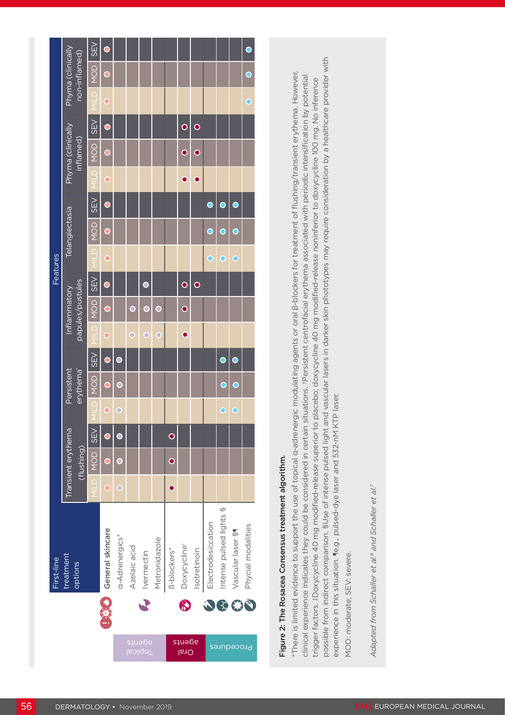| treatment<br>options                                                                                                                                                                                                                                                                                                                                                                                                                                |           |                                  |            |                  |                                     |           |                    |                         | Features                |                |            |                |                                |            |           |                                    |
|-----------------------------------------------------------------------------------------------------------------------------------------------------------------------------------------------------------------------------------------------------------------------------------------------------------------------------------------------------------------------------------------------------------------------------------------------------|-----------|----------------------------------|------------|------------------|-------------------------------------|-----------|--------------------|-------------------------|-------------------------|----------------|------------|----------------|--------------------------------|------------|-----------|------------------------------------|
|                                                                                                                                                                                                                                                                                                                                                                                                                                                     |           | Transient erythema<br>(flushing) |            |                  | Persistent<br>erythema <sup>+</sup> |           | Inflammatory       | papules/pustules        |                         | Telangiectasia |            |                | Phyma (clinically<br>inflamed) |            |           | Phyma (clinically<br>non-inflamed) |
|                                                                                                                                                                                                                                                                                                                                                                                                                                                     |           | NOD                              | <b>SEV</b> | ◠                | <b>SEV</b><br>NOD                   |           | NOD<br>$\supseteq$ | <b>SEV</b>              | $\frac{\Omega}{\Gamma}$ | NOD            | <b>SEV</b> | ≏              | NOD                            | <b>SEV</b> |           | SEV<br>NOD                         |
| General skincare                                                                                                                                                                                                                                                                                                                                                                                                                                    | $\bullet$ |                                  |            | $\mathbf{\circ}$ | $\bullet$                           | $\bullet$ |                    |                         | $\circ$                 |                |            | $\overline{O}$ |                                |            | $\bullet$ |                                    |
| a-Adrenergics*                                                                                                                                                                                                                                                                                                                                                                                                                                      | C         |                                  | $\bullet$  | $\bigcirc$       | $\bullet$                           |           |                    |                         |                         |                |            |                |                                |            |           |                                    |
| Azelaic acid                                                                                                                                                                                                                                                                                                                                                                                                                                        |           |                                  |            |                  |                                     | $\circ$   | O                  |                         |                         |                |            |                |                                |            |           |                                    |
| <b>Ivermectin</b><br>$\blacktriangledown$<br>adeurs<br><b>Topical</b>                                                                                                                                                                                                                                                                                                                                                                               |           |                                  |            |                  |                                     | O         | Ō                  | O                       |                         |                |            |                |                                |            |           |                                    |
| Metronidazole                                                                                                                                                                                                                                                                                                                                                                                                                                       |           |                                  |            |                  |                                     | O         | ◯                  |                         |                         |                |            |                |                                |            |           |                                    |
| B-blockers*                                                                                                                                                                                                                                                                                                                                                                                                                                         | $\bullet$ | $\bullet$                        | $\bullet$  |                  |                                     |           |                    |                         |                         |                |            |                |                                |            |           |                                    |
| Doxycycline <sup>#</sup><br>$\bf \delta$<br>adeuța<br><b>I<sub>61</sub>O</b>                                                                                                                                                                                                                                                                                                                                                                        |           |                                  |            |                  |                                     | $\bullet$ | $\bullet$          | $\overline{\mathbf{o}}$ |                         |                |            | $\bullet$      | $\bullet$                      | $\bullet$  |           |                                    |
| Isotretinoin                                                                                                                                                                                                                                                                                                                                                                                                                                        |           |                                  |            |                  |                                     |           |                    | $\bullet$               |                         |                |            | $\bullet$      | $\bullet$                      | $\bullet$  |           |                                    |
| Electrodesiccation                                                                                                                                                                                                                                                                                                                                                                                                                                  |           |                                  |            |                  |                                     |           |                    |                         | O                       | ◯              | $\bullet$  |                |                                |            |           |                                    |
| Intense pulsed lights §<br>Procedures                                                                                                                                                                                                                                                                                                                                                                                                               |           |                                  |            | $\circ$          | $\bullet$<br>O                      |           |                    |                         | O                       | D              | Э          |                |                                |            |           |                                    |
| Vascular laser §                                                                                                                                                                                                                                                                                                                                                                                                                                    |           |                                  |            | $\bigcirc$       | O                                   | $\bullet$ |                    |                         | $\bigcirc$              | О              | $\bullet$  |                |                                |            |           |                                    |
| Phycial modalities<br>JOGO                                                                                                                                                                                                                                                                                                                                                                                                                          |           |                                  |            |                  |                                     |           |                    |                         |                         |                |            |                |                                |            | О         |                                    |
| Figure 2: The Rosacea Consensus treatment algorithm.                                                                                                                                                                                                                                                                                                                                                                                                |           |                                  |            |                  |                                     |           |                    |                         |                         |                |            |                |                                |            |           |                                    |
| $^*$ There is limited evidence to support the use of topical α-adrenergic modulating agents or oral β-blockers for treatment of flushing/transient erythema. However,<br>clinical experience indicates they could be considered in certain situations. *Persistent centrofacial erythema associated with periodic intensification by potential                                                                                                      |           |                                  |            |                  |                                     |           |                    |                         |                         |                |            |                |                                |            |           |                                    |
| possible from indirect comparison. SUse of intense pulsed light and vascular lasers in darker skin phototypes may require consideration by a healthcare provider with<br>trigger factors. ‡Doxycycline 40 mg modified-release superior to placebo; doxycycline 40 mg modified-release noninferior to doxycycline 100 mg. No inference<br>experience in this situation. (e.g., pulsed-dye laser and 532-nM KTP laser.<br>MOD: moderate; SEV: severe. |           |                                  |            |                  |                                     |           |                    |                         |                         |                |            |                |                                |            |           |                                    |
|                                                                                                                                                                                                                                                                                                                                                                                                                                                     |           |                                  |            |                  |                                     |           |                    |                         |                         |                |            |                |                                |            |           |                                    |
| Adapted from Schaller et al. <sup>6</sup> and Schaller et al. <sup>7</sup>                                                                                                                                                                                                                                                                                                                                                                          |           |                                  |            |                  |                                     |           |                    |                         |                         |                |            |                |                                |            |           |                                    |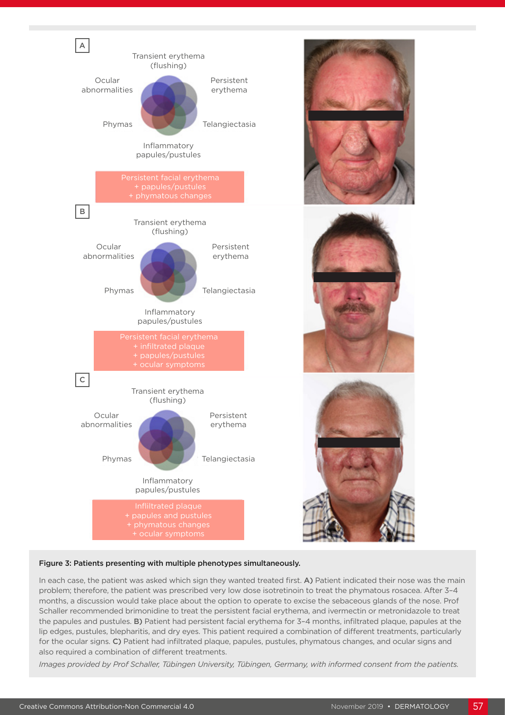

#### Figure 3: Patients presenting with multiple phenotypes simultaneously.

In each case, the patient was asked which sign they wanted treated first. A) Patient indicated their nose was the main problem; therefore, the patient was prescribed very low dose isotretinoin to treat the phymatous rosacea. After 3–4 months, a discussion would take place about the option to operate to excise the sebaceous glands of the nose. Prof Schaller recommended brimonidine to treat the persistent facial erythema, and ivermectin or metronidazole to treat the papules and pustules. B) Patient had persistent facial erythema for 3-4 months, infiltrated plaque, papules at the lip edges, pustules, blepharitis, and dry eyes. This patient required a combination of different treatments, particularly for the ocular signs. C) Patient had infiltrated plaque, papules, pustules, phymatous changes, and ocular signs and also required a combination of different treatments.

*Images provided by Prof Schaller, Tübingen University, Tübingen, Germany, with informed consent from the patients.*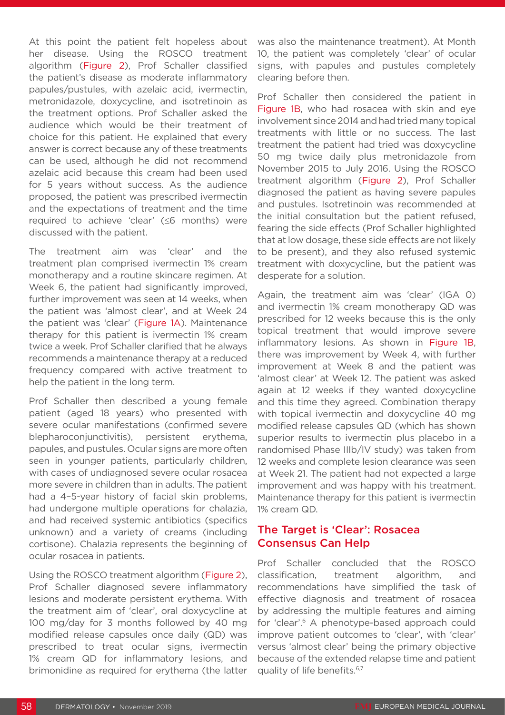At this point the patient felt hopeless about her disease. Using the ROSCO treatment algorithm (Figure 2), Prof Schaller classified the patient's disease as moderate inflammatory papules/pustules, with azelaic acid, ivermectin, metronidazole, doxycycline, and isotretinoin as the treatment options. Prof Schaller asked the audience which would be their treatment of choice for this patient. He explained that every answer is correct because any of these treatments can be used, although he did not recommend azelaic acid because this cream had been used for 5 years without success. As the audience proposed, the patient was prescribed ivermectin and the expectations of treatment and the time required to achieve 'clear' (≤6 months) were discussed with the patient.

The treatment aim was 'clear' and the treatment plan comprised ivermectin 1% cream monotherapy and a routine skincare regimen. At Week 6, the patient had significantly improved, further improvement was seen at 14 weeks, when the patient was 'almost clear', and at Week 24 the patient was 'clear' (Figure 1A). Maintenance therapy for this patient is ivermectin 1% cream twice a week. Prof Schaller clarified that he always recommends a maintenance therapy at a reduced frequency compared with active treatment to help the patient in the long term.

Prof Schaller then described a young female patient (aged 18 years) who presented with severe ocular manifestations (confirmed severe blepharoconjunctivitis), persistent erythema, papules, and pustules. Ocular signs are more often seen in younger patients, particularly children, with cases of undiagnosed severe ocular rosacea more severe in children than in adults. The patient had a 4–5-year history of facial skin problems, had undergone multiple operations for chalazia, and had received systemic antibiotics (specifics unknown) and a variety of creams (including cortisone). Chalazia represents the beginning of ocular rosacea in patients.

Using the ROSCO treatment algorithm (Figure 2), Prof Schaller diagnosed severe inflammatory lesions and moderate persistent erythema. With the treatment aim of 'clear', oral doxycycline at 100 mg/day for 3 months followed by 40 mg modified release capsules once daily (QD) was prescribed to treat ocular signs, ivermectin 1% cream QD for inflammatory lesions, and brimonidine as required for erythema (the latter was also the maintenance treatment). At Month 10, the patient was completely 'clear' of ocular signs, with papules and pustules completely clearing before then.

Prof Schaller then considered the patient in Figure 1B, who had rosacea with skin and eye involvement since 2014 and had tried many topical treatments with little or no success. The last treatment the patient had tried was doxycycline 50 mg twice daily plus metronidazole from November 2015 to July 2016. Using the ROSCO treatment algorithm (Figure 2), Prof Schaller diagnosed the patient as having severe papules and pustules. Isotretinoin was recommended at the initial consultation but the patient refused, fearing the side effects (Prof Schaller highlighted that at low dosage, these side effects are not likely to be present), and they also refused systemic treatment with doxycycline, but the patient was desperate for a solution.

Again, the treatment aim was 'clear' (IGA 0) and ivermectin 1% cream monotherapy QD was prescribed for 12 weeks because this is the only topical treatment that would improve severe inflammatory lesions. As shown in Figure 1B, there was improvement by Week 4, with further improvement at Week 8 and the patient was 'almost clear' at Week 12. The patient was asked again at 12 weeks if they wanted doxycycline and this time they agreed. Combination therapy with topical ivermectin and doxycycline 40 mg modified release capsules QD (which has shown superior results to ivermectin plus placebo in a randomised Phase IIIb/IV study) was taken from 12 weeks and complete lesion clearance was seen at Week 21. The patient had not expected a large improvement and was happy with his treatment. Maintenance therapy for this patient is ivermectin 1% cream QD.

#### The Target is 'Clear': Rosacea Consensus Can Help

Prof Schaller concluded that the ROSCO classification, treatment algorithm, and recommendations have simplified the task of effective diagnosis and treatment of rosacea by addressing the multiple features and aiming for 'clear'.6 A phenotype-based approach could improve patient outcomes to 'clear', with 'clear' versus 'almost clear' being the primary objective because of the extended relapse time and patient quality of life benefits.<sup>6,7</sup>